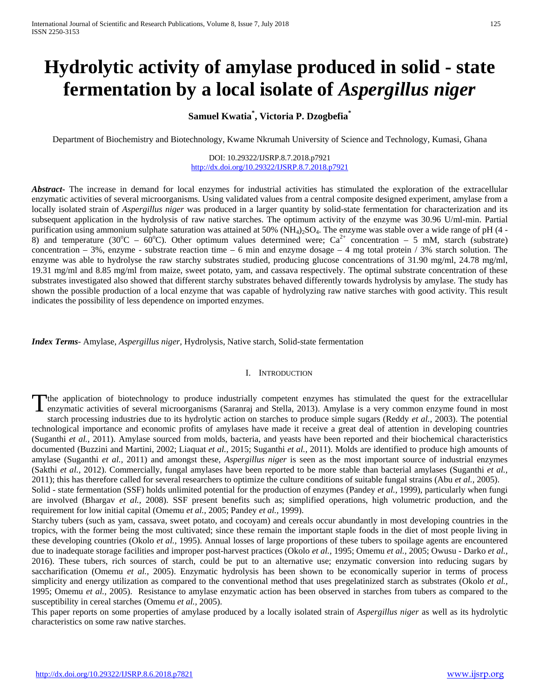# **Hydrolytic activity of amylase produced in solid - state fermentation by a local isolate of** *Aspergillus niger*

## **Samuel Kwatia\* , Victoria P. Dzogbefia\***

Department of Biochemistry and Biotechnology, Kwame Nkrumah University of Science and Technology, Kumasi, Ghana

#### DOI: 10.29322/IJSRP.8.7.2018.p7921 <http://dx.doi.org/10.29322/IJSRP.8.7.2018.p7921>

*Abstract***-** The increase in demand for local enzymes for industrial activities has stimulated the exploration of the extracellular enzymatic activities of several microorganisms. Using validated values from a central composite designed experiment, amylase from a locally isolated strain of *Aspergillus niger* was produced in a larger quantity by solid-state fermentation for characterization and its subsequent application in the hydrolysis of raw native starches. The optimum activity of the enzyme was 30.96 U/ml-min. Partial purification using ammonium sulphate saturation was attained at  $50\%$  (NH<sub>4</sub>)<sub>2</sub>SO<sub>4</sub>. The enzyme was stable over a wide range of pH (4 -8) and temperature (30°C – 60°C). Other optimum values determined were;  $Ca^{2+}$  concentration – 5 mM, starch (substrate) concentration – 3%, enzyme - substrate reaction time – 6 min and enzyme dosage – 4 mg total protein  $/3\%$  starch solution. The enzyme was able to hydrolyse the raw starchy substrates studied, producing glucose concentrations of 31.90 mg/ml, 24.78 mg/ml, 19.31 mg/ml and 8.85 mg/ml from maize, sweet potato, yam, and cassava respectively. The optimal substrate concentration of these substrates investigated also showed that different starchy substrates behaved differently towards hydrolysis by amylase. The study has shown the possible production of a local enzyme that was capable of hydrolyzing raw native starches with good activity. This result indicates the possibility of less dependence on imported enzymes.

*Index Terms*- Amylase, *Aspergillus niger,* Hydrolysis, Native starch, Solid-state fermentation

#### I. INTRODUCTION

The application of biotechnology to produce industrially competent enzymes has stimulated the quest for the extracellular enzymatic activities of several microorganisms (Saranraj and Stella, 2013). Amylase is a very common enzyme found in most starch processing industries due to its hydrolytic action on starches to produce simple sugars (Reddy *et al.,* 2003). The potential technological importance and economic profits of amylases have made it receive a great deal of attention in developing countries (Suganthi *et al.,* 2011). Amylase sourced from molds, bacteria, and yeasts have been reported and their biochemical characteristics documented (Buzzini and Martini, 2002; Liaquat *et al.,* 2015; Suganthi *et al.,* 2011). Molds are identified to produce high amounts of amylase (Suganthi *et al.,* 2011) and amongst these, *Aspergillus niger* is seen as the most important source of industrial enzymes (Sakthi *et al.,* 2012). Commercially, fungal amylases have been reported to be more stable than bacterial amylases (Suganthi *et al.,* 2011); this has therefore called for several researchers to optimize the culture conditions of suitable fungal strains (Abu *et al.,* 2005). T

Solid - state fermentation (SSF) holds unlimited potential for the production of enzymes (Pandey *et al.,* 1999), particularly when fungi are involved (Bhargav *et al.,* 2008). SSF present benefits such as; simplified operations, high volumetric production, and the requirement for low initial capital (Omemu *et al.,* 2005; Pandey *et al.,* 1999).

Starchy tubers (such as yam, cassava, sweet potato, and cocoyam) and cereals occur abundantly in most developing countries in the tropics, with the former being the most cultivated; since these remain the important staple foods in the diet of most people living in these developing countries (Okolo *et al.,* 1995). Annual losses of large proportions of these tubers to spoilage agents are encountered due to inadequate storage facilities and improper post-harvest practices (Okolo *et al.,* 1995; Omemu *et al.,* 2005; Owusu - Darko *et al.,* 2016). These tubers, rich sources of starch, could be put to an alternative use; enzymatic conversion into reducing sugars by saccharification (Omemu *et al.,* 2005). Enzymatic hydrolysis has been shown to be economically superior in terms of process simplicity and energy utilization as compared to the conventional method that uses pregelatinized starch as substrates (Okolo *et al.,* 1995; Omemu *et al.,* 2005). Resistance to amylase enzymatic action has been observed in starches from tubers as compared to the susceptibility in cereal starches (Omemu *et al.,* 2005).

This paper reports on some properties of amylase produced by a locally isolated strain of *Aspergillus niger* as well as its hydrolytic characteristics on some raw native starches.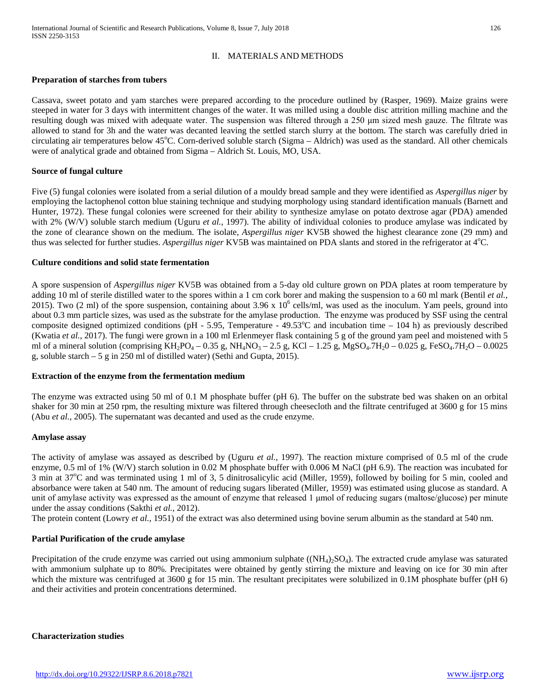### II. MATERIALS AND METHODS

#### **Preparation of starches from tubers**

Cassava, sweet potato and yam starches were prepared according to the procedure outlined by (Rasper, 1969). Maize grains were steeped in water for 3 days with intermittent changes of the water. It was milled using a double disc attrition milling machine and the resulting dough was mixed with adequate water. The suspension was filtered through a 250 μm sized mesh gauze. The filtrate was allowed to stand for 3h and the water was decanted leaving the settled starch slurry at the bottom. The starch was carefully dried in circulating air temperatures below 45°C. Corn-derived soluble starch (Sigma - Aldrich) was used as the standard. All other chemicals were of analytical grade and obtained from Sigma – Aldrich St. Louis, MO, USA.

#### **Source of fungal culture**

Five (5) fungal colonies were isolated from a serial dilution of a mouldy bread sample and they were identified as *Aspergillus niger* by employing the lactophenol cotton blue staining technique and studying morphology using standard identification manuals (Barnett and Hunter, 1972). These fungal colonies were screened for their ability to synthesize amylase on potato dextrose agar (PDA) amended with 2% (W/V) soluble starch medium (Uguru *et al.*, 1997). The ability of individual colonies to produce amylase was indicated by the zone of clearance shown on the medium. The isolate, *Aspergillus niger* KV5B showed the highest clearance zone (29 mm) and thus was selected for further studies. Aspergillus niger KV5B was maintained on PDA slants and stored in the refrigerator at 4°C.

#### **Culture conditions and solid state fermentation**

A spore suspension of *Aspergillus niger* KV5B was obtained from a 5-day old culture grown on PDA plates at room temperature by adding 10 ml of sterile distilled water to the spores within a 1 cm cork borer and making the suspension to a 60 ml mark (Bentil *et al.,* 2015). Two (2 ml) of the spore suspension, containing about  $3.96 \times 10^6$  cells/ml, was used as the inoculum. Yam peels, ground into about 0.3 mm particle sizes, was used as the substrate for the amylase production. The enzyme was produced by SSF using the central composite designed optimized conditions (pH - 5.95, Temperature - 49.53°C and incubation time  $-104$  h) as previously described (Kwatia *et al.,* 2017). The fungi were grown in a 100 ml Erlenmeyer flask containing 5 g of the ground yam peel and moistened with 5 ml of a mineral solution (comprising KH<sub>2</sub>PO<sub>4</sub> – 0.35 g, NH<sub>4</sub>NO<sub>3</sub> – 2.5 g, KCl – 1.25 g, MgSO<sub>4</sub>.7H<sub>2</sub>O – 0.025 g, FeSO<sub>4</sub>.7H<sub>2</sub>O – 0.0025 g, soluble starch – 5 g in 250 ml of distilled water) (Sethi and Gupta, 2015).

#### **Extraction of the enzyme from the fermentation medium**

The enzyme was extracted using 50 ml of 0.1 M phosphate buffer (pH 6). The buffer on the substrate bed was shaken on an orbital shaker for 30 min at 250 rpm, the resulting mixture was filtered through cheesecloth and the filtrate centrifuged at 3600 g for 15 mins (Abu *et al.,* 2005). The supernatant was decanted and used as the crude enzyme.

#### **Amylase assay**

The activity of amylase was assayed as described by (Uguru *et al.,* 1997). The reaction mixture comprised of 0.5 ml of the crude enzyme, 0.5 ml of 1% (W/V) starch solution in 0.02 M phosphate buffer with 0.006 M NaCl (pH 6.9). The reaction was incubated for 3 min at 37°C and was terminated using 1 ml of 3, 5 dinitrosalicylic acid (Miller, 1959), followed by boiling for 5 min, cooled and absorbance were taken at 540 nm. The amount of reducing sugars liberated (Miller, 1959) was estimated using glucose as standard. A unit of amylase activity was expressed as the amount of enzyme that released 1 μmol of reducing sugars (maltose/glucose) per minute under the assay conditions (Sakthi *et al.,* 2012).

The protein content (Lowry *et al.,* 1951) of the extract was also determined using bovine serum albumin as the standard at 540 nm.

#### **Partial Purification of the crude amylase**

Precipitation of the crude enzyme was carried out using ammonium sulphate  $((NH_4)_2SO_4)$ . The extracted crude amylase was saturated with ammonium sulphate up to 80%. Precipitates were obtained by gently stirring the mixture and leaving on ice for 30 min after which the mixture was centrifuged at 3600 g for 15 min. The resultant precipitates were solubilized in 0.1M phosphate buffer (pH 6) and their activities and protein concentrations determined.

**Characterization studies**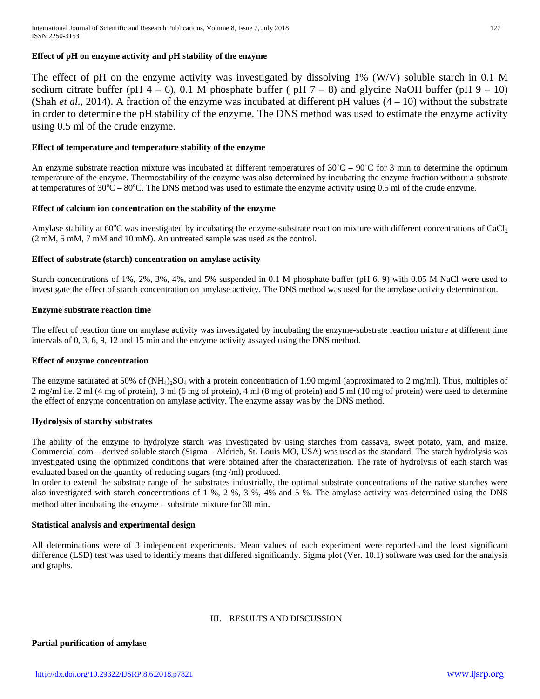## **Effect of pH on enzyme activity and pH stability of the enzyme**

The effect of pH on the enzyme activity was investigated by dissolving 1% (W/V) soluble starch in 0.1 M sodium citrate buffer (pH 4 – 6), 0.1 M phosphate buffer (pH 7 – 8) and glycine NaOH buffer (pH 9 – 10) (Shah *et al.,* 2014). A fraction of the enzyme was incubated at different pH values  $(4 - 10)$  without the substrate in order to determine the pH stability of the enzyme. The DNS method was used to estimate the enzyme activity using 0.5 ml of the crude enzyme.

#### **Effect of temperature and temperature stability of the enzyme**

An enzyme substrate reaction mixture was incubated at different temperatures of  $30^{\circ}$ C –  $90^{\circ}$ C for 3 min to determine the optimum temperature of the enzyme. Thermostability of the enzyme was also determined by incubating the enzyme fraction without a substrate at temperatures of  $30^{\circ}\text{C} - 80^{\circ}\text{C}$ . The DNS method was used to estimate the enzyme activity using 0.5 ml of the crude enzyme.

#### **Effect of calcium ion concentration on the stability of the enzyme**

Amylase stability at  $60^{\circ}$ C was investigated by incubating the enzyme-substrate reaction mixture with different concentrations of CaCl<sub>2</sub> (2 mM, 5 mM, 7 mM and 10 mM). An untreated sample was used as the control.

#### **Effect of substrate (starch) concentration on amylase activity**

Starch concentrations of 1%, 2%, 3%, 4%, and 5% suspended in 0.1 M phosphate buffer (pH 6. 9) with 0.05 M NaCl were used to investigate the effect of starch concentration on amylase activity. The DNS method was used for the amylase activity determination.

#### **Enzyme substrate reaction time**

The effect of reaction time on amylase activity was investigated by incubating the enzyme-substrate reaction mixture at different time intervals of 0, 3, 6, 9, 12 and 15 min and the enzyme activity assayed using the DNS method.

#### **Effect of enzyme concentration**

The enzyme saturated at 50% of  $(NH_4)_2SO_4$  with a protein concentration of 1.90 mg/ml (approximated to 2 mg/ml). Thus, multiples of 2 mg/ml i.e. 2 ml (4 mg of protein), 3 ml (6 mg of protein), 4 ml (8 mg of protein) and 5 ml (10 mg of protein) were used to determine the effect of enzyme concentration on amylase activity. The enzyme assay was by the DNS method.

### **Hydrolysis of starchy substrates**

The ability of the enzyme to hydrolyze starch was investigated by using starches from cassava, sweet potato, yam, and maize. Commercial corn – derived soluble starch (Sigma – Aldrich, St. Louis MO, USA) was used as the standard. The starch hydrolysis was investigated using the optimized conditions that were obtained after the characterization. The rate of hydrolysis of each starch was evaluated based on the quantity of reducing sugars (mg /ml) produced.

In order to extend the substrate range of the substrates industrially, the optimal substrate concentrations of the native starches were also investigated with starch concentrations of 1 %, 2 %, 3 %, 4% and 5 %. The amylase activity was determined using the DNS method after incubating the enzyme – substrate mixture for 30 min.

#### **Statistical analysis and experimental design**

All determinations were of 3 independent experiments. Mean values of each experiment were reported and the least significant difference (LSD) test was used to identify means that differed significantly. Sigma plot (Ver. 10.1) software was used for the analysis and graphs.

#### III. RESULTS AND DISCUSSION

**Partial purification of amylase**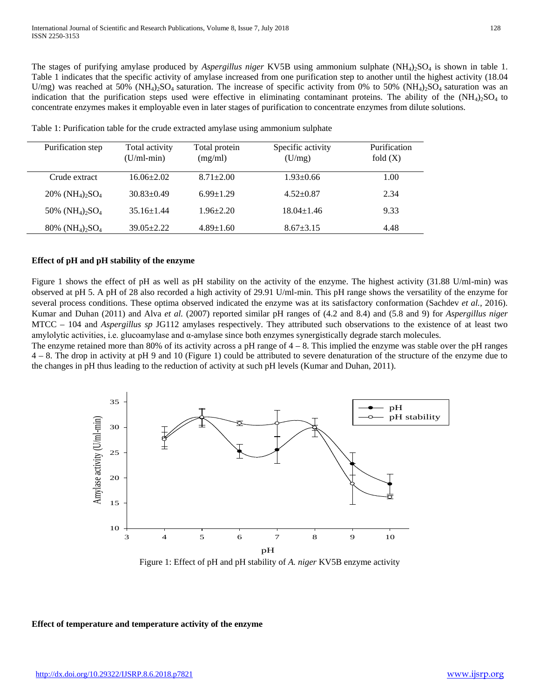The stages of purifying amylase produced by *Aspergillus niger* KV5B using ammonium sulphate (NH<sub>4</sub>)<sub>2</sub>SO<sub>4</sub> is shown in table 1. Table 1 indicates that the specific activity of amylase increased from one purification step to another until the highest activity (18.04 U/mg) was reached at 50% (NH<sub>4</sub>)<sub>2</sub>SO<sub>4</sub> saturation. The increase of specific activity from 0% to 50% (NH<sub>4</sub>)<sub>2</sub>SO<sub>4</sub> saturation was an indication that the purification steps used were effective in eliminating contaminant proteins. The ability of the  $(NH<sub>4</sub>)<sub>2</sub>SO<sub>4</sub>$  to concentrate enzymes makes it employable even in later stages of purification to concentrate enzymes from dilute solutions.

| Purification step                                      | Total activity   | Total protein   | Specific activity | Purification |
|--------------------------------------------------------|------------------|-----------------|-------------------|--------------|
|                                                        | $(U/ml-min)$     | (mg/ml)         | (U/mg)            | fold $(X)$   |
|                                                        |                  |                 |                   |              |
| Crude extract                                          | $16.06 \pm 2.02$ | $8.71 \pm 2.00$ | $1.93 \pm 0.66$   | 1.00         |
| 20% (NH <sub>4</sub> ) <sub>2</sub> SO <sub>4</sub>    | $30.83 \pm 0.49$ | $6.99 \pm 1.29$ | $4.52 \pm 0.87$   | 2.34         |
|                                                        |                  |                 |                   |              |
| 50% (NH <sub>4</sub> ) <sub>2</sub> SO <sub>4</sub>    | $35.16 + 1.44$   | $1.96 \pm 2.20$ | $18.04 \pm 1.46$  | 9.33         |
| $80\%$ (NH <sub>4</sub> ) <sub>2</sub> SO <sub>4</sub> | $39.05 \pm 2.22$ | $4.89 \pm 1.60$ | $8.67 \pm 3.15$   | 4.48         |
|                                                        |                  |                 |                   |              |

Table 1: Purification table for the crude extracted amylase using ammonium sulphate

#### **Effect of pH and pH stability of the enzyme**

Figure 1 shows the effect of pH as well as pH stability on the activity of the enzyme. The highest activity (31.88 U/ml-min) was observed at pH 5. A pH of 28 also recorded a high activity of 29.91 U/ml-min. This pH range shows the versatility of the enzyme for several process conditions. These optima observed indicated the enzyme was at its satisfactory conformation (Sachdev *et al.,* 2016). Kumar and Duhan (2011) and Alva *et al.* (2007) reported similar pH ranges of (4.2 and 8.4) and (5.8 and 9) for *Aspergillus niger* MTCC – 104 and *Aspergillus sp* JG112 amylases respectively. They attributed such observations to the existence of at least two amylolytic activities, i.e. glucoamylase and α-amylase since both enzymes synergistically degrade starch molecules.

The enzyme retained more than 80% of its activity across a pH range of  $4 - 8$ . This implied the enzyme was stable over the pH ranges 4 – 8. The drop in activity at pH 9 and 10 (Figure 1) could be attributed to severe denaturation of the structure of the enzyme due to the changes in pH thus leading to the reduction of activity at such pH levels (Kumar and Duhan, 2011).



Figure 1: Effect of pH and pH stability of *A. niger* KV5B enzyme activity

#### **Effect of temperature and temperature activity of the enzyme**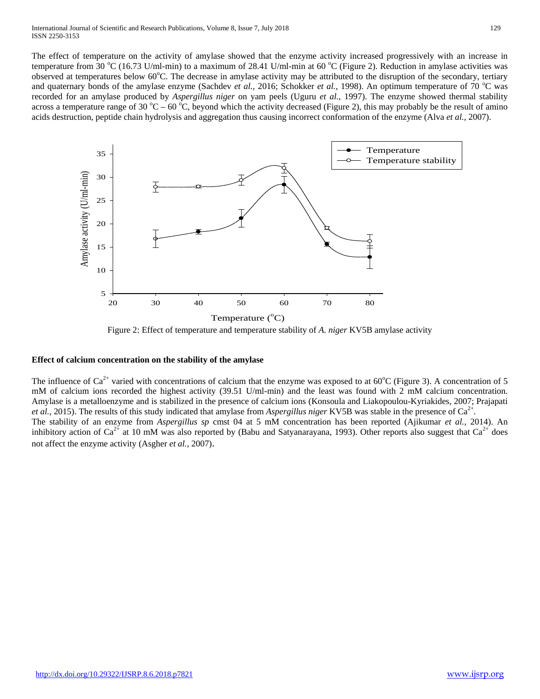The effect of temperature on the activity of amylase showed that the enzyme activity increased progressively with an increase in temperature from 30 °C (16.73 U/ml-min) to a maximum of 28.41 U/ml-min at 60 °C (Figure 2). Reduction in amylase activities was observed at temperatures below 60°C. The decrease in amylase activity may be attributed to the disruption of the secondary, tertiary and quaternary bonds of the amylase enzyme (Sachdev *et al., 2016; Schokker et al., 1998)*. An optimum temperature of 70 °C was recorded for an amylase produced by *Aspergillus niger* on yam peels (Uguru *et al.,* 1997). The enzyme showed thermal stability across a temperature range of 30 °C – 60 °C, beyond which the activity decreased (Figure 2), this may probably be the result of amino acids destruction, peptide chain hydrolysis and aggregation thus causing incorrect conformation of the enzyme (Alva *et al.,* 2007).



Figure 2: Effect of temperature and temperature stability of *A. niger* KV5B amylase activity

### **Effect of calcium concentration on the stability of the amylase**

The influence of  $Ca^{2+}$  varied with concentrations of calcium that the enzyme was exposed to at 60°C (Figure 3). A concentration of 5 mM of calcium ions recorded the highest activity (39.51 U/ml-min) and the least was found with 2 mM calcium concentration. Amylase is a metalloenzyme and is stabilized in the presence of calcium ions (Konsoula and Liakopoulou-Kyriakides, 2007; Prajapati *et al.,* 2015). The results of this study indicated that amylase from *Aspergillus niger* KV5B was stable in the presence of Ca<sup>2+</sup>. The stability of an enzyme from *Aspergillus sp* cmst 04 at 5 mM concentration has been reported (Ajikumar *et al.,* 2014). An inhibitory action of  $Ca^{2+}$  at 10 mM was also reported by (Babu and Satyanarayana, 1993). Other reports also suggest that  $Ca^{2+}$  does not affect the enzyme activity (Asgher *et al.,* 2007).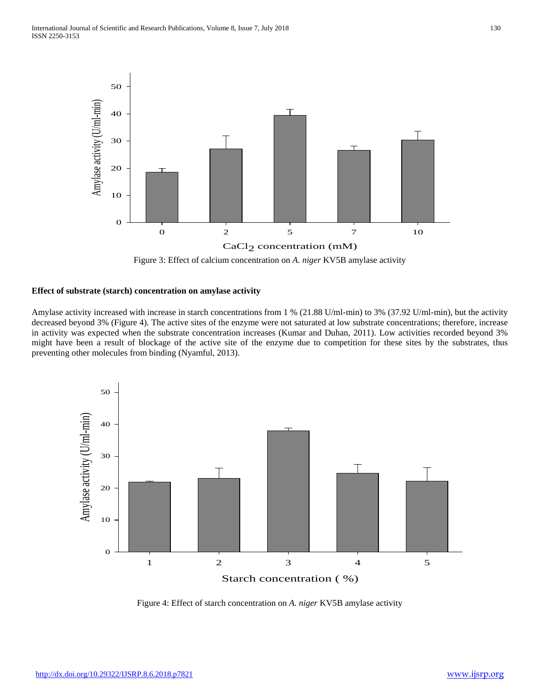

Figure 3: Effect of calcium concentration on *A. niger* KV5B amylase activity

#### **Effect of substrate (starch) concentration on amylase activity**

Amylase activity increased with increase in starch concentrations from 1 % (21.88 U/ml-min) to 3% (37.92 U/ml-min), but the activity decreased beyond 3% (Figure 4). The active sites of the enzyme were not saturated at low substrate concentrations; therefore, increase in activity was expected when the substrate concentration increases (Kumar and Duhan, 2011). Low activities recorded beyond 3% might have been a result of blockage of the active site of the enzyme due to competition for these sites by the substrates, thus preventing other molecules from binding (Nyamful, 2013).



Figure 4: Effect of starch concentration on *A. niger* KV5B amylase activity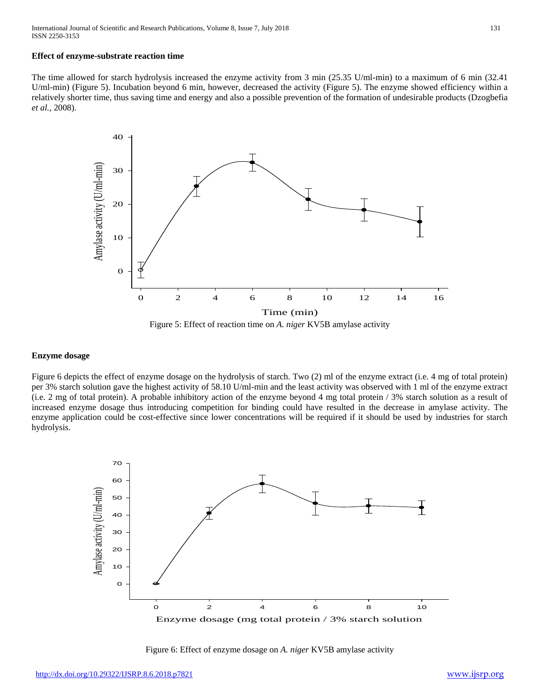#### **Effect of enzyme-substrate reaction time**

The time allowed for starch hydrolysis increased the enzyme activity from 3 min (25.35 U/ml-min) to a maximum of 6 min (32.41 U/ml-min) (Figure 5). Incubation beyond 6 min, however, decreased the activity (Figure 5). The enzyme showed efficiency within a relatively shorter time, thus saving time and energy and also a possible prevention of the formation of undesirable products (Dzogbefia *et al.,* 2008).



Figure 5: Effect of reaction time on *A. niger* KV5B amylase activity

#### **Enzyme dosage**

Figure 6 depicts the effect of enzyme dosage on the hydrolysis of starch. Two (2) ml of the enzyme extract (i.e. 4 mg of total protein) per 3% starch solution gave the highest activity of 58.10 U/ml-min and the least activity was observed with 1 ml of the enzyme extract (i.e. 2 mg of total protein). A probable inhibitory action of the enzyme beyond 4 mg total protein / 3% starch solution as a result of increased enzyme dosage thus introducing competition for binding could have resulted in the decrease in amylase activity. The enzyme application could be cost-effective since lower concentrations will be required if it should be used by industries for starch hydrolysis.



Figure 6: Effect of enzyme dosage on *A. niger* KV5B amylase activity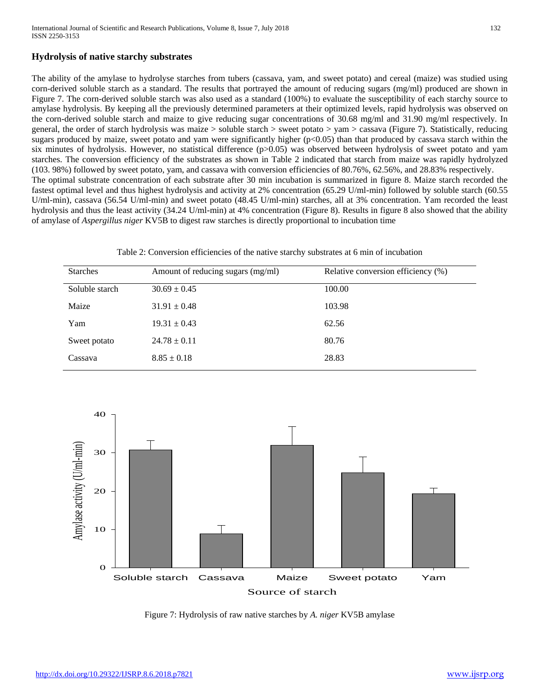## **Hydrolysis of native starchy substrates**

The ability of the amylase to hydrolyse starches from tubers (cassava, yam, and sweet potato) and cereal (maize) was studied using corn-derived soluble starch as a standard. The results that portrayed the amount of reducing sugars (mg/ml) produced are shown in Figure 7. The corn-derived soluble starch was also used as a standard (100%) to evaluate the susceptibility of each starchy source to amylase hydrolysis. By keeping all the previously determined parameters at their optimized levels, rapid hydrolysis was observed on the corn-derived soluble starch and maize to give reducing sugar concentrations of 30.68 mg/ml and 31.90 mg/ml respectively. In general, the order of starch hydrolysis was maize > soluble starch > sweet potato > yam > cassava (Figure 7). Statistically, reducing sugars produced by maize, sweet potato and yam were significantly higher ( $p<0.05$ ) than that produced by cassava starch within the six minutes of hydrolysis. However, no statistical difference (p>0.05) was observed between hydrolysis of sweet potato and yam starches. The conversion efficiency of the substrates as shown in Table 2 indicated that starch from maize was rapidly hydrolyzed (103. 98%) followed by sweet potato, yam, and cassava with conversion efficiencies of 80.76%, 62.56%, and 28.83% respectively. The optimal substrate concentration of each substrate after 30 min incubation is summarized in figure 8. Maize starch recorded the fastest optimal level and thus highest hydrolysis and activity at 2% concentration (65.29 U/ml-min) followed by soluble starch (60.55 U/ml-min), cassava (56.54 U/ml-min) and sweet potato (48.45 U/ml-min) starches, all at 3% concentration. Yam recorded the least hydrolysis and thus the least activity (34.24 U/ml-min) at 4% concentration (Figure 8). Results in figure 8 also showed that the ability of amylase of *Aspergillus niger* KV5B to digest raw starches is directly proportional to incubation time



| <b>Starches</b> | Amount of reducing sugars (mg/ml) | Relative conversion efficiency (%) |
|-----------------|-----------------------------------|------------------------------------|
| Soluble starch  | $30.69 \pm 0.45$                  | 100.00                             |
| Maize           | $31.91 \pm 0.48$                  | 103.98                             |
| Yam             | $19.31 \pm 0.43$                  | 62.56                              |
| Sweet potato    | $24.78 \pm 0.11$                  | 80.76                              |
| Cassava         | $8.85 \pm 0.18$                   | 28.83                              |



Figure 7: Hydrolysis of raw native starches by *A. niger* KV5B amylase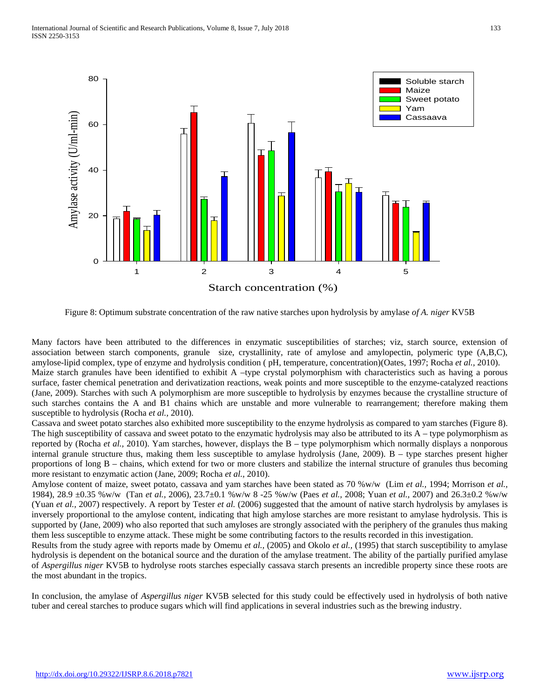

Figure 8: Optimum substrate concentration of the raw native starches upon hydrolysis by amylase *of A. niger* KV5B

Many factors have been attributed to the differences in enzymatic susceptibilities of starches; viz, starch source, extension of association between starch components, granule size, crystallinity, rate of amylose and amylopectin, polymeric type (A,B,C), amylose-lipid complex, type of enzyme and hydrolysis condition ( pH, temperature, concentration)(Oates, 1997; Rocha *et al.,* 2010). Maize starch granules have been identified to exhibit A –type crystal polymorphism with characteristics such as having a porous surface, faster chemical penetration and derivatization reactions, weak points and more susceptible to the enzyme-catalyzed reactions (Jane, 2009). Starches with such A polymorphism are more susceptible to hydrolysis by enzymes because the crystalline structure of such starches contains the A and B1 chains which are unstable and more vulnerable to rearrangement; therefore making them susceptible to hydrolysis (Rocha *et al.,* 2010).

Cassava and sweet potato starches also exhibited more susceptibility to the enzyme hydrolysis as compared to yam starches (Figure 8). The high susceptibility of cassava and sweet potato to the enzymatic hydrolysis may also be attributed to its  $A -$  type polymorphism as reported by (Rocha *et al.,* 2010). Yam starches, however, displays the B – type polymorphism which normally displays a nonporous internal granule structure thus, making them less susceptible to amylase hydrolysis (Jane, 2009). B – type starches present higher proportions of long B – chains, which extend for two or more clusters and stabilize the internal structure of granules thus becoming more resistant to enzymatic action (Jane, 2009; Rocha *et al.,* 2010).

Amylose content of maize, sweet potato, cassava and yam starches have been stated as 70 %w/w (Lim *et al.,* 1994; Morrison *et al.,* 1984), 28.9 ±0.35 %w/w (Tan *et al.,* 2006), 23.7±0.1 %w/w 8 -25 %w/w (Paes *et al.,* 2008; Yuan *et al.,* 2007) and 26.3±0.2 %w/w (Yuan *et al.,* 2007) respectively. A report by Tester *et al.* (2006) suggested that the amount of native starch hydrolysis by amylases is inversely proportional to the amylose content, indicating that high amylose starches are more resistant to amylase hydrolysis. This is supported by (Jane, 2009) who also reported that such amyloses are strongly associated with the periphery of the granules thus making them less susceptible to enzyme attack. These might be some contributing factors to the results recorded in this investigation.

Results from the study agree with reports made by Omemu *et al.,* (2005) and Okolo *et al.,* (1995) that starch susceptibility to amylase hydrolysis is dependent on the botanical source and the duration of the amylase treatment. The ability of the partially purified amylase of *Aspergillus niger* KV5B to hydrolyse roots starches especially cassava starch presents an incredible property since these roots are the most abundant in the tropics.

In conclusion, the amylase of *Aspergillus niger* KV5B selected for this study could be effectively used in hydrolysis of both native tuber and cereal starches to produce sugars which will find applications in several industries such as the brewing industry.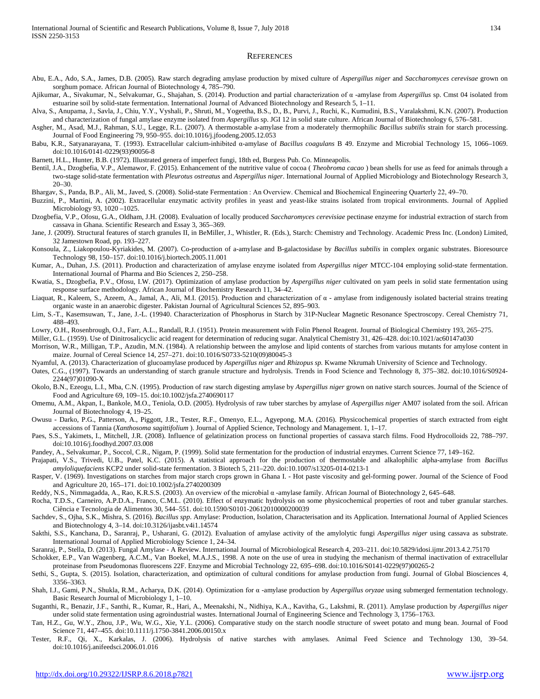#### **REFERENCES**

- Abu, E.A., Ado, S.A., James, D.B. (2005). Raw starch degrading amylase production by mixed culture of *Aspergillus niger* and *Saccharomyces cerevisae* grown on sorghum pomace. African Journal of Biotechnology 4, 785–790.
- Ajikumar, A., Sivakumar, N., Selvakumar, G., Shajahan, S. (2014). Production and partial characterization of α -amylase from *Aspergillus* sp. Cmst 04 isolated from estuarine soil by solid-state fermentation. International Journal of Advanced Biotechnology and Research 5, 1–11.
- Alva, S., Anupama, J., Savla, J., Chiu, Y.Y., Vyshali, P., Shruti, M., Yogeetha, B.S., D., B., Purvi, J., Ruchi, K., Kumudini, B.S., Varalakshmi, K.N. (2007). Production and characterization of fungal amylase enzyme isolated from *Aspergillus* sp. JGI 12 in solid state culture. African Journal of Biotechnology 6, 576–581.
- Asgher, M., Asad, M.J., Rahman, S.U., Legge, R.L. (2007). A thermostable a-amylase from a moderately thermophilic *Bacillus subtilis* strain for starch processing. Journal of Food Engineering 79, 950–955. doi:10.1016/j.jfoodeng.2005.12.053
- Babu, K.R., Satyanarayana, T. (1993). Extracellular calcium-inhibited α-amylase of *Bacillus coagulans* B 49. Enzyme and Microbial Technology 15, 1066–1069. doi:10.1016/0141-0229(93)90056-8
- Barnett, H.L., Hunter, B.B. (1972). Illustrated genera of imperfect fungi, 18th ed, Burgess Pub. Co. Minneapolis.
- Bentil, J.A., Dzogbefia, V.P., Alemawor, F. (2015). Enhancement of the nutritive value of cocoa ( *Theobroma cacao* ) bean shells for use as feed for animals through a two-stage solid-state fermentation with *Pleurotus ostreatus* and *Aspergillus niger*. International Journal of Applied Microbiology and Biotechnology Research 3, 20–30.
- Bhargav, S., Panda, B.P., Ali, M., Javed, S. (2008). Solid-state Fermentation : An Overview. Chemical and Biochemical Engineering Quarterly 22, 49–70.
- Buzzini, P., Martini, A. (2002). Extracellular enzymatic activity profiles in yeast and yeast-like strains isolated from tropical environments. Journal of Applied Microbiology 93, 1020 –1025.
- Dzogbefia, V.P., Ofosu, G.A., Oldham, J.H. (2008). Evaluation of locally produced *Saccharomyces cerevisiae* pectinase enzyme for industrial extraction of starch from cassava in Ghana. Scientific Research and Essay 3, 365–369.
- Jane, J. (2009). Structural features of starch granules II, in BeMiller, J., Whistler, R. (Eds.), Starch: Chemistry and Technology. Academic Press Inc. (London) Limited, 32 Jamestown Road, pp. 193–227.
- Konsoula, Z., Liakopoulou-Kyriakides, M. (2007). Co-production of a-amylase and B-galactosidase by *Bacillus subtilis* in complex organic substrates. Bioresource Technology 98, 150–157. doi:10.1016/j.biortech.2005.11.001
- Kumar, A., Duhan, J.S. (2011). Production and characterization of amylase enzyme isolated from *Aspergillus niger* MTCC-104 employing solid-state fermentation. International Journal of Pharma and Bio Sciences 2, 250–258.
- Kwatia, S., Dzogbefia, P.V., Ofosu, I.W. (2017). Optimization of amylase production by *Aspergillus niger* cultivated on yam peels in solid state fermentation using response surface methodology. African Journal of Biochemistry Research 11, 34–42.
- Liaquat, R., Kaleem, S., Azeem, A., Jamal, A., Ali, M.I. (2015). Production and characterization of α amylase from indigenously isolated bacterial strains treating organic waste in an anaerobic digester. Pakistan Journal of Agricultural Sciences 52, 895–903.
- Lim, S.-T., Kasemsuwan, T., Jane, J.-L. (19940. Characterization of Phosphorus in Starch by 31P-Nuclear Magnetic Resonance Spectroscopy. Cereal Chemistry 71, 488–493.
- Lowry, O.H., Rosenbrough, O.J., Farr, A.L., Randall, R.J. (1951). Protein measurement with Folin Phenol Reagent. Journal of Biological Chemistry 193, 265–275.
- Miller, G.L. (1959). Use of Dinitrosalicyclic acid reagent for determination of reducing sugar. Analytical Chemistry 31, 426–428. doi:10.1021/ac60147a030
- Morrison, W.R., Milligan, T.P., Azudin, M.N. (1984). A relationship between the amylose and lipid contents of starches from various mutants for amylose content in maize. Journal of Cereal Science 14, 257–271. doi:10.1016/S0733-5210(09)80045-3
- Nyamful, A. (2013). Characterization of glucoamylase produced by *Aspergillus niger* and *Rhizopus sp.* Kwame Nkrumah University of Science and Technology.
- Oates, C.G., (1997). Towards an understanding of starch granule structure and hydrolysis. Trends in Food Science and Technology 8, 375–382. doi:10.1016/S0924- 2244(97)01090-X
- Okolo, B.N., Ezeogu, L.I., Mba, C.N. (1995). Production of raw starch digesting amylase by *Aspergillus niger* grown on native starch sources. Journal of the Science of Food and Agriculture 69, 109–15. doi:10.1002/jsfa.2740690117
- Omemu, A.M., Akpan, I., Bankole, M.O., Teniola, O.D. (2005). Hydrolysis of raw tuber starches by amylase of *Aspergillus niger* AM07 isolated from the soil. African Journal of Biotechnology 4, 19–25.
- Owusu Darko, P.G., Patterson, A., Piggott, J.R., Tester, R.F., Omenyo, E.L., Agyepong, M.A. (2016). Physicochemical properties of starch extracted from eight accessions of Tannia (*Xanthosoma sagittifolium* ). Journal of Applied Science, Technology and Management. 1, 1–17.
- Paes, S.S., Yakimets, I., Mitchell, J.R. (2008). Influence of gelatinization process on functional properties of cassava starch films. Food Hydrocolloids 22, 788–797. doi:10.1016/j.foodhyd.2007.03.008
- Pandey, A., Selvakumar, P., Soccol, C.R., Nigam, P. (1999). Solid state fermentation for the production of industrial enzymes. Current Science 77, 149–162.
- Prajapati, V.S., Trivedi, U.B., Patel, K.C. (2015). A statistical approach for the production of thermostable and alkalophilic alpha-amylase from *Bacillus amyloliquefaciens* KCP2 under solid-state fermentation. 3 Biotech 5, 211–220. doi:10.1007/s13205-014-0213-1
- Rasper, V. (1969). Investigations on starches from major starch crops grown in Ghana I. Hot paste viscosity and gel-forming power. Journal of the Science of Food and Agriculture 20, 165–171. doi:10.1002/jsfa.2740200309
- Reddy, N.S., Nimmagadda, A., Rao, K.R.S.S. (2003). An overview of the microbial α -amylase family. African Journal of Biotechnology 2, 645–648.
- Rocha, T.D.S., Carneiro, A.P.D.A., Franco, C.M.L. (2010). Effect of enzymatic hydrolysis on some physicochemical properties of root and tuber granular starches. Ciência e Tecnologia de Alimentos 30, 544–551. doi:10.1590/S0101-20612010000200039
- Sachdev, S., Ojha, S.K., Mishra, S. (2016). *Bacillus spp*. Amylase: Production, Isolation, Characterisation and its Application. International Journal of Applied Sciences and Biotechnology 4, 3–14. doi:10.3126/ijasbt.v4i1.14574
- Sakthi, S.S., Kanchana, D., Saranraj, P., Usharani, G. (2012). Evaluation of amylase activity of the amylolytic fungi *Aspergillus niger* using cassava as substrate. International Journal of Applied Microbiology Science 1, 24–34.
- Saranraj, P., Stella, D. (2013). Fungal Amylase A Review. International Journal of Microbiological Research 4, 203–211. doi:10.5829/idosi.ijmr.2013.4.2.75170
- Schokker, E.P., Van Wagenberg, A.C.M., Van Boekel, M.A.J.S., 1998. A note on the use of urea in studying the mechanism of thermal inactivation of extracellular proteinase from Pseudomonas fluorescens 22F. Enzyme and Microbial Technology 22, 695–698. doi:10.1016/S0141-0229(97)00265-2
- Sethi, S., Gupta, S. (2015). Isolation, characterization, and optimization of cultural conditions for amylase production from fungi. Journal of Global Biosciences 4, 3356–3363.
- Shah, I.J., Gami, P.N., Shukla, R.M., Acharya, D.K. (2014). Optimization for α -amylase production by *Aspergillus oryzae* using submerged fermentation technology. Basic Research Journal of Microbiology 1, 1–10.
- Suganthi, R., Benazir, J.F., Santhi, R., Kumar, R., Hari, A., Meenakshi, N., Nidhiya, K.A., Kavitha, G., Lakshmi, R. (2011). Amylase production by *Aspergillus niger* under solid state fermentation using agroindustrial wastes. International Journal of Engineering Science and Technology 3, 1756–1763.
- Tan, H.Z., Gu, W.Y., Zhou, J.P., Wu, W.G., Xie, Y.L. (2006). Comparative study on the starch noodle structure of sweet potato and mung bean. Journal of Food Science 71, 447–455. doi:10.1111/j.1750-3841.2006.00150.x
- Tester, R.F., Qi, X., Karkalas, J. (2006). Hydrolysis of native starches with amylases. Animal Feed Science and Technology 130, 39–54. doi:10.1016/j.anifeedsci.2006.01.016